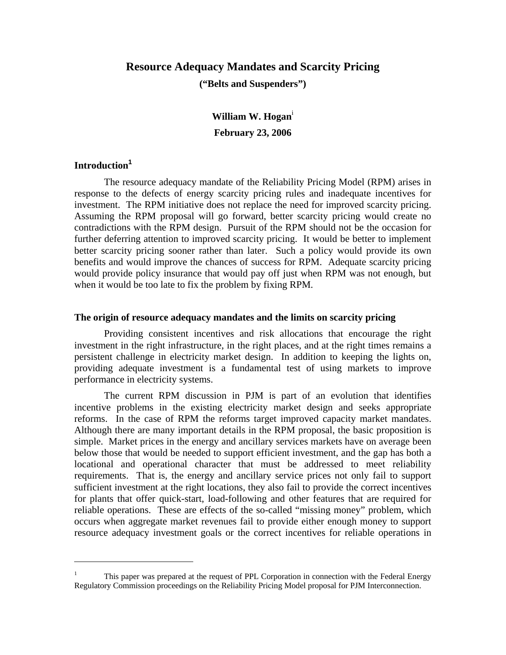# **Resource Adequacy Mandates and Scarcity Pricing**

**("Belts and Suspenders")** 

**William W. Hogan**<sup>i</sup> **February 23, 2006** 

# **Introduction<sup>1</sup>**

 $\overline{a}$ 

 The resource adequacy mandate of the Reliability Pricing Model (RPM) arises in response to the defects of energy scarcity pricing rules and inadequate incentives for investment. The RPM initiative does not replace the need for improved scarcity pricing. Assuming the RPM proposal will go forward, better scarcity pricing would create no contradictions with the RPM design. Pursuit of the RPM should not be the occasion for further deferring attention to improved scarcity pricing. It would be better to implement better scarcity pricing sooner rather than later. Such a policy would provide its own benefits and would improve the chances of success for RPM. Adequate scarcity pricing would provide policy insurance that would pay off just when RPM was not enough, but when it would be too late to fix the problem by fixing RPM.

### **The origin of resource adequacy mandates and the limits on scarcity pricing**

Providing consistent incentives and risk allocations that encourage the right investment in the right infrastructure, in the right places, and at the right times remains a persistent challenge in electricity market design. In addition to keeping the lights on, providing adequate investment is a fundamental test of using markets to improve performance in electricity systems.

The current RPM discussion in PJM is part of an evolution that identifies incentive problems in the existing electricity market design and seeks appropriate reforms. In the case of RPM the reforms target improved capacity market mandates. Although there are many important details in the RPM proposal, the basic proposition is simple. Market prices in the energy and ancillary services markets have on average been below those that would be needed to support efficient investment, and the gap has both a locational and operational character that must be addressed to meet reliability requirements. That is, the energy and ancillary service prices not only fail to support sufficient investment at the right locations, they also fail to provide the correct incentives for plants that offer quick-start, load-following and other features that are required for reliable operations. These are effects of the so-called "missing money" problem, which occurs when aggregate market revenues fail to provide either enough money to support resource adequacy investment goals or the correct incentives for reliable operations in

<sup>1</sup> This paper was prepared at the request of PPL Corporation in connection with the Federal Energy Regulatory Commission proceedings on the Reliability Pricing Model proposal for PJM Interconnection.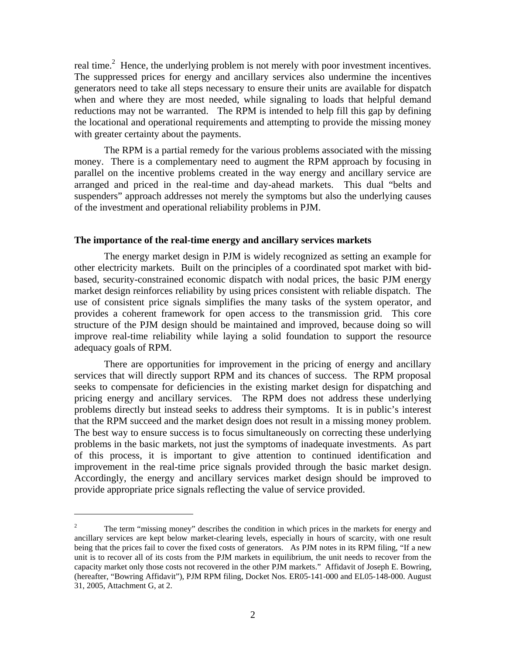real time.<sup>2</sup> Hence, the underlying problem is not merely with poor investment incentives. The suppressed prices for energy and ancillary services also undermine the incentives generators need to take all steps necessary to ensure their units are available for dispatch when and where they are most needed, while signaling to loads that helpful demand reductions may not be warranted. The RPM is intended to help fill this gap by defining the locational and operational requirements and attempting to provide the missing money with greater certainty about the payments.

The RPM is a partial remedy for the various problems associated with the missing money. There is a complementary need to augment the RPM approach by focusing in parallel on the incentive problems created in the way energy and ancillary service are arranged and priced in the real-time and day-ahead markets. This dual "belts and suspenders" approach addresses not merely the symptoms but also the underlying causes of the investment and operational reliability problems in PJM.

### **The importance of the real-time energy and ancillary services markets**

The energy market design in PJM is widely recognized as setting an example for other electricity markets. Built on the principles of a coordinated spot market with bidbased, security-constrained economic dispatch with nodal prices, the basic PJM energy market design reinforces reliability by using prices consistent with reliable dispatch. The use of consistent price signals simplifies the many tasks of the system operator, and provides a coherent framework for open access to the transmission grid. This core structure of the PJM design should be maintained and improved, because doing so will improve real-time reliability while laying a solid foundation to support the resource adequacy goals of RPM.

There are opportunities for improvement in the pricing of energy and ancillary services that will directly support RPM and its chances of success. The RPM proposal seeks to compensate for deficiencies in the existing market design for dispatching and pricing energy and ancillary services. The RPM does not address these underlying problems directly but instead seeks to address their symptoms. It is in public's interest that the RPM succeed and the market design does not result in a missing money problem. The best way to ensure success is to focus simultaneously on correcting these underlying problems in the basic markets, not just the symptoms of inadequate investments. As part of this process, it is important to give attention to continued identification and improvement in the real-time price signals provided through the basic market design. Accordingly, the energy and ancillary services market design should be improved to provide appropriate price signals reflecting the value of service provided.

<sup>2</sup> The term "missing money" describes the condition in which prices in the markets for energy and ancillary services are kept below market-clearing levels, especially in hours of scarcity, with one result being that the prices fail to cover the fixed costs of generators. As PJM notes in its RPM filing, "If a new unit is to recover all of its costs from the PJM markets in equilibrium, the unit needs to recover from the capacity market only those costs not recovered in the other PJM markets." Affidavit of Joseph E. Bowring, (hereafter, "Bowring Affidavit"), PJM RPM filing, Docket Nos. ER05-141-000 and EL05-148-000. August 31, 2005, Attachment G, at 2.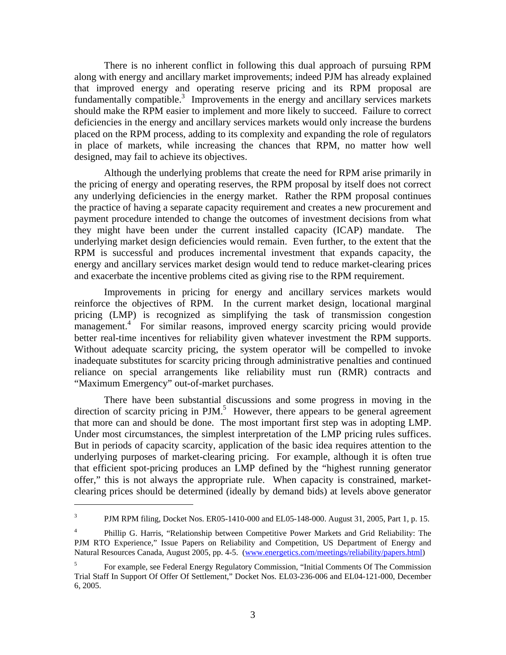There is no inherent conflict in following this dual approach of pursuing RPM along with energy and ancillary market improvements; indeed PJM has already explained that improved energy and operating reserve pricing and its RPM proposal are fundamentally compatible.<sup>3</sup> Improvements in the energy and ancillary services markets should make the RPM easier to implement and more likely to succeed. Failure to correct deficiencies in the energy and ancillary services markets would only increase the burdens placed on the RPM process, adding to its complexity and expanding the role of regulators in place of markets, while increasing the chances that RPM, no matter how well designed, may fail to achieve its objectives.

Although the underlying problems that create the need for RPM arise primarily in the pricing of energy and operating reserves, the RPM proposal by itself does not correct any underlying deficiencies in the energy market. Rather the RPM proposal continues the practice of having a separate capacity requirement and creates a new procurement and payment procedure intended to change the outcomes of investment decisions from what they might have been under the current installed capacity (ICAP) mandate. The underlying market design deficiencies would remain. Even further, to the extent that the RPM is successful and produces incremental investment that expands capacity, the energy and ancillary services market design would tend to reduce market-clearing prices and exacerbate the incentive problems cited as giving rise to the RPM requirement.

Improvements in pricing for energy and ancillary services markets would reinforce the objectives of RPM. In the current market design, locational marginal pricing (LMP) is recognized as simplifying the task of transmission congestion management.<sup>4</sup> For similar reasons, improved energy scarcity pricing would provide better real-time incentives for reliability given whatever investment the RPM supports. Without adequate scarcity pricing, the system operator will be compelled to invoke inadequate substitutes for scarcity pricing through administrative penalties and continued reliance on special arrangements like reliability must run (RMR) contracts and "Maximum Emergency" out-of-market purchases.

There have been substantial discussions and some progress in moving in the direction of scarcity pricing in  $PJM$ .<sup>5</sup> However, there appears to be general agreement that more can and should be done. The most important first step was in adopting LMP. Under most circumstances, the simplest interpretation of the LMP pricing rules suffices. But in periods of capacity scarcity, application of the basic idea requires attention to the underlying purposes of market-clearing pricing. For example, although it is often true that efficient spot-pricing produces an LMP defined by the "highest running generator offer," this is not always the appropriate rule. When capacity is constrained, marketclearing prices should be determined (ideally by demand bids) at levels above generator

<sup>3</sup> PJM RPM filing, Docket Nos. ER05-1410-000 and EL05-148-000. August 31, 2005, Part 1, p. 15.

<sup>4</sup> Phillip G. Harris, "Relationship between Competitive Power Markets and Grid Reliability: The PJM RTO Experience," Issue Papers on Reliability and Competition, US Department of Energy and Natural Resources Canada, August 2005, pp. 4-5. (www.energetics.com/meetings/reliability/papers.html)

<sup>5</sup> For example, see Federal Energy Regulatory Commission, "Initial Comments Of The Commission Trial Staff In Support Of Offer Of Settlement," Docket Nos. EL03-236-006 and EL04-121-000, December 6, 2005.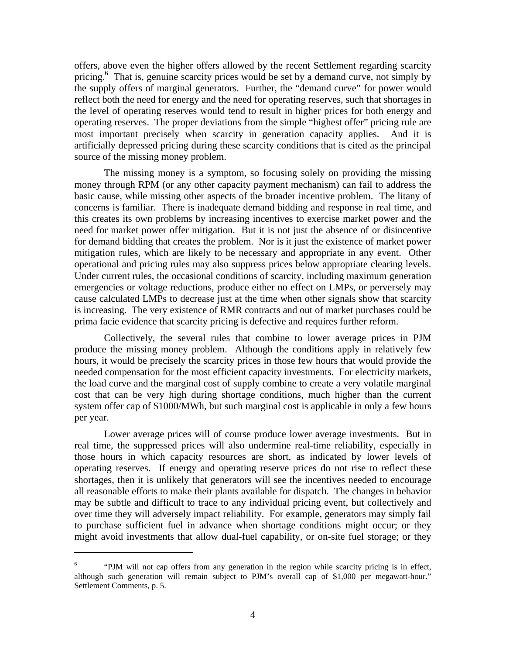offers, above even the higher offers allowed by the recent Settlement regarding scarcity pricing.<sup>6</sup> That is, genuine scarcity prices would be set by a demand curve, not simply by the supply offers of marginal generators. Further, the "demand curve" for power would reflect both the need for energy and the need for operating reserves, such that shortages in the level of operating reserves would tend to result in higher prices for both energy and operating reserves. The proper deviations from the simple "highest offer" pricing rule are most important precisely when scarcity in generation capacity applies. And it is artificially depressed pricing during these scarcity conditions that is cited as the principal source of the missing money problem.

The missing money is a symptom, so focusing solely on providing the missing money through RPM (or any other capacity payment mechanism) can fail to address the basic cause, while missing other aspects of the broader incentive problem. The litany of concerns is familiar. There is inadequate demand bidding and response in real time, and this creates its own problems by increasing incentives to exercise market power and the need for market power offer mitigation. But it is not just the absence of or disincentive for demand bidding that creates the problem. Nor is it just the existence of market power mitigation rules, which are likely to be necessary and appropriate in any event. Other operational and pricing rules may also suppress prices below appropriate clearing levels. Under current rules, the occasional conditions of scarcity, including maximum generation emergencies or voltage reductions, produce either no effect on LMPs, or perversely may cause calculated LMPs to decrease just at the time when other signals show that scarcity is increasing. The very existence of RMR contracts and out of market purchases could be prima facie evidence that scarcity pricing is defective and requires further reform.

Collectively, the several rules that combine to lower average prices in PJM produce the missing money problem. Although the conditions apply in relatively few hours, it would be precisely the scarcity prices in those few hours that would provide the needed compensation for the most efficient capacity investments. For electricity markets, the load curve and the marginal cost of supply combine to create a very volatile marginal cost that can be very high during shortage conditions, much higher than the current system offer cap of \$1000/MWh, but such marginal cost is applicable in only a few hours per year.

Lower average prices will of course produce lower average investments. But in real time, the suppressed prices will also undermine real-time reliability, especially in those hours in which capacity resources are short, as indicated by lower levels of operating reserves. If energy and operating reserve prices do not rise to reflect these shortages, then it is unlikely that generators will see the incentives needed to encourage all reasonable efforts to make their plants available for dispatch. The changes in behavior may be subtle and difficult to trace to any individual pricing event, but collectively and over time they will adversely impact reliability. For example, generators may simply fail to purchase sufficient fuel in advance when shortage conditions might occur; or they might avoid investments that allow dual-fuel capability, or on-site fuel storage; or they

<sup>6</sup> "PJM will not cap offers from any generation in the region while scarcity pricing is in effect, although such generation will remain subject to PJM's overall cap of \$1,000 per megawatt-hour." Settlement Comments, p. 5.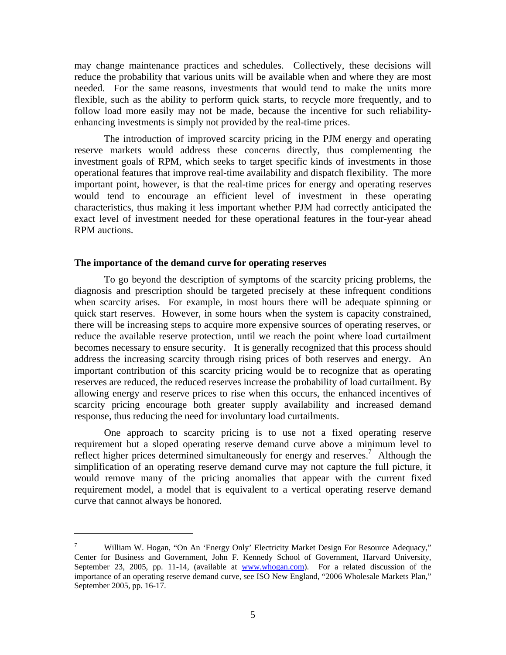may change maintenance practices and schedules. Collectively, these decisions will reduce the probability that various units will be available when and where they are most needed. For the same reasons, investments that would tend to make the units more flexible, such as the ability to perform quick starts, to recycle more frequently, and to follow load more easily may not be made, because the incentive for such reliabilityenhancing investments is simply not provided by the real-time prices.

The introduction of improved scarcity pricing in the PJM energy and operating reserve markets would address these concerns directly, thus complementing the investment goals of RPM, which seeks to target specific kinds of investments in those operational features that improve real-time availability and dispatch flexibility. The more important point, however, is that the real-time prices for energy and operating reserves would tend to encourage an efficient level of investment in these operating characteristics, thus making it less important whether PJM had correctly anticipated the exact level of investment needed for these operational features in the four-year ahead RPM auctions.

### **The importance of the demand curve for operating reserves**

 $\overline{a}$ 

To go beyond the description of symptoms of the scarcity pricing problems, the diagnosis and prescription should be targeted precisely at these infrequent conditions when scarcity arises. For example, in most hours there will be adequate spinning or quick start reserves. However, in some hours when the system is capacity constrained, there will be increasing steps to acquire more expensive sources of operating reserves, or reduce the available reserve protection, until we reach the point where load curtailment becomes necessary to ensure security. It is generally recognized that this process should address the increasing scarcity through rising prices of both reserves and energy. An important contribution of this scarcity pricing would be to recognize that as operating reserves are reduced, the reduced reserves increase the probability of load curtailment. By allowing energy and reserve prices to rise when this occurs, the enhanced incentives of scarcity pricing encourage both greater supply availability and increased demand response, thus reducing the need for involuntary load curtailments.

One approach to scarcity pricing is to use not a fixed operating reserve requirement but a sloped operating reserve demand curve above a minimum level to reflect higher prices determined simultaneously for energy and reserves.<sup>7</sup> Although the simplification of an operating reserve demand curve may not capture the full picture, it would remove many of the pricing anomalies that appear with the current fixed requirement model, a model that is equivalent to a vertical operating reserve demand curve that cannot always be honored.

<sup>7</sup> William W. Hogan, "On An 'Energy Only' Electricity Market Design For Resource Adequacy," Center for Business and Government, John F. Kennedy School of Government, Harvard University, September 23, 2005, pp. 11-14, (available at www.whogan.com). For a related discussion of the importance of an operating reserve demand curve, see ISO New England, "2006 Wholesale Markets Plan," September 2005, pp. 16-17.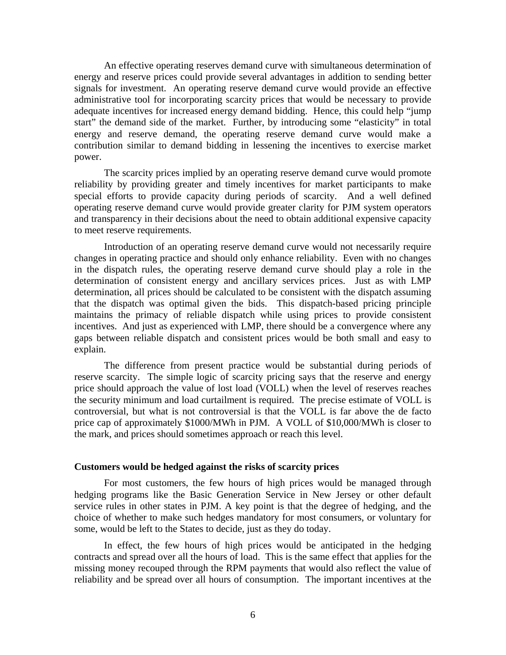An effective operating reserves demand curve with simultaneous determination of energy and reserve prices could provide several advantages in addition to sending better signals for investment. An operating reserve demand curve would provide an effective administrative tool for incorporating scarcity prices that would be necessary to provide adequate incentives for increased energy demand bidding. Hence, this could help "jump start" the demand side of the market. Further, by introducing some "elasticity" in total energy and reserve demand, the operating reserve demand curve would make a contribution similar to demand bidding in lessening the incentives to exercise market power.

The scarcity prices implied by an operating reserve demand curve would promote reliability by providing greater and timely incentives for market participants to make special efforts to provide capacity during periods of scarcity. And a well defined operating reserve demand curve would provide greater clarity for PJM system operators and transparency in their decisions about the need to obtain additional expensive capacity to meet reserve requirements.

Introduction of an operating reserve demand curve would not necessarily require changes in operating practice and should only enhance reliability. Even with no changes in the dispatch rules, the operating reserve demand curve should play a role in the determination of consistent energy and ancillary services prices. Just as with LMP determination, all prices should be calculated to be consistent with the dispatch assuming that the dispatch was optimal given the bids. This dispatch-based pricing principle maintains the primacy of reliable dispatch while using prices to provide consistent incentives. And just as experienced with LMP, there should be a convergence where any gaps between reliable dispatch and consistent prices would be both small and easy to explain.

The difference from present practice would be substantial during periods of reserve scarcity. The simple logic of scarcity pricing says that the reserve and energy price should approach the value of lost load (VOLL) when the level of reserves reaches the security minimum and load curtailment is required. The precise estimate of VOLL is controversial, but what is not controversial is that the VOLL is far above the de facto price cap of approximately \$1000/MWh in PJM. A VOLL of \$10,000/MWh is closer to the mark, and prices should sometimes approach or reach this level.

#### **Customers would be hedged against the risks of scarcity prices**

For most customers, the few hours of high prices would be managed through hedging programs like the Basic Generation Service in New Jersey or other default service rules in other states in PJM. A key point is that the degree of hedging, and the choice of whether to make such hedges mandatory for most consumers, or voluntary for some, would be left to the States to decide, just as they do today.

In effect, the few hours of high prices would be anticipated in the hedging contracts and spread over all the hours of load. This is the same effect that applies for the missing money recouped through the RPM payments that would also reflect the value of reliability and be spread over all hours of consumption. The important incentives at the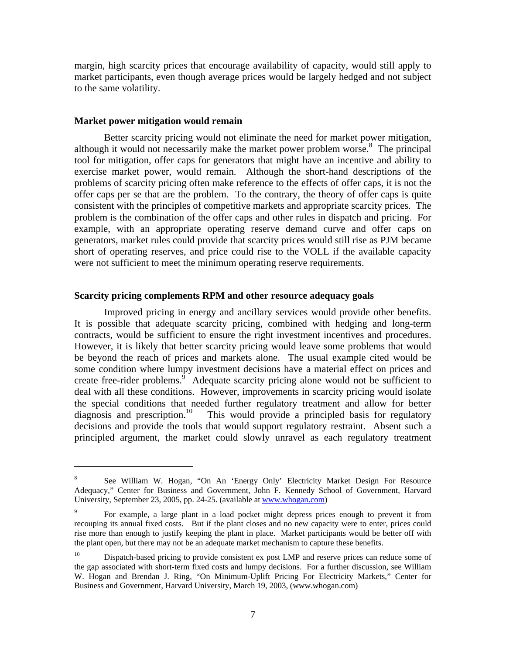margin, high scarcity prices that encourage availability of capacity, would still apply to market participants, even though average prices would be largely hedged and not subject to the same volatility.

#### **Market power mitigation would remain**

 $\overline{a}$ 

Better scarcity pricing would not eliminate the need for market power mitigation, although it would not necessarily make the market power problem worse.<sup>8</sup> The principal tool for mitigation, offer caps for generators that might have an incentive and ability to exercise market power, would remain. Although the short-hand descriptions of the problems of scarcity pricing often make reference to the effects of offer caps, it is not the offer caps per se that are the problem. To the contrary, the theory of offer caps is quite consistent with the principles of competitive markets and appropriate scarcity prices. The problem is the combination of the offer caps and other rules in dispatch and pricing. For example, with an appropriate operating reserve demand curve and offer caps on generators, market rules could provide that scarcity prices would still rise as PJM became short of operating reserves, and price could rise to the VOLL if the available capacity were not sufficient to meet the minimum operating reserve requirements.

## **Scarcity pricing complements RPM and other resource adequacy goals**

Improved pricing in energy and ancillary services would provide other benefits. It is possible that adequate scarcity pricing, combined with hedging and long-term contracts, would be sufficient to ensure the right investment incentives and procedures. However, it is likely that better scarcity pricing would leave some problems that would be beyond the reach of prices and markets alone. The usual example cited would be some condition where lumpy investment decisions have a material effect on prices and create free-rider problems.<sup> $\delta$ </sup> Adequate scarcity pricing alone would not be sufficient to deal with all these conditions. However, improvements in scarcity pricing would isolate the special conditions that needed further regulatory treatment and allow for better diagnosis and prescription.<sup>10</sup> This would provide a principled basis for regulatory This would provide a principled basis for regulatory decisions and provide the tools that would support regulatory restraint. Absent such a principled argument, the market could slowly unravel as each regulatory treatment

<sup>8</sup> See William W. Hogan, "On An 'Energy Only' Electricity Market Design For Resource Adequacy," Center for Business and Government, John F. Kennedy School of Government, Harvard University, September 23, 2005, pp. 24-25. (available at www.whogan.com)

<sup>9</sup> For example, a large plant in a load pocket might depress prices enough to prevent it from recouping its annual fixed costs. But if the plant closes and no new capacity were to enter, prices could rise more than enough to justify keeping the plant in place. Market participants would be better off with the plant open, but there may not be an adequate market mechanism to capture these benefits.

<sup>&</sup>lt;sup>10</sup> Dispatch-based pricing to provide consistent ex post LMP and reserve prices can reduce some of the gap associated with short-term fixed costs and lumpy decisions. For a further discussion, see William W. Hogan and Brendan J. Ring, "On Minimum-Uplift Pricing For Electricity Markets," Center for Business and Government, Harvard University, March 19, 2003, (www.whogan.com)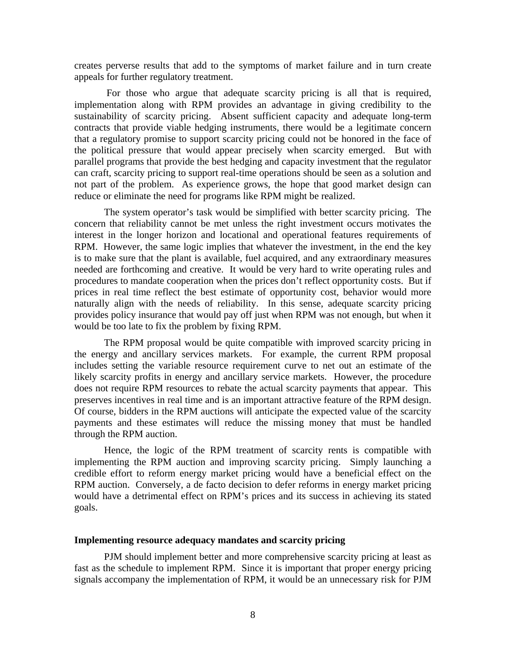creates perverse results that add to the symptoms of market failure and in turn create appeals for further regulatory treatment.

 For those who argue that adequate scarcity pricing is all that is required, implementation along with RPM provides an advantage in giving credibility to the sustainability of scarcity pricing. Absent sufficient capacity and adequate long-term contracts that provide viable hedging instruments, there would be a legitimate concern that a regulatory promise to support scarcity pricing could not be honored in the face of the political pressure that would appear precisely when scarcity emerged. But with parallel programs that provide the best hedging and capacity investment that the regulator can craft, scarcity pricing to support real-time operations should be seen as a solution and not part of the problem. As experience grows, the hope that good market design can reduce or eliminate the need for programs like RPM might be realized.

The system operator's task would be simplified with better scarcity pricing. The concern that reliability cannot be met unless the right investment occurs motivates the interest in the longer horizon and locational and operational features requirements of RPM. However, the same logic implies that whatever the investment, in the end the key is to make sure that the plant is available, fuel acquired, and any extraordinary measures needed are forthcoming and creative. It would be very hard to write operating rules and procedures to mandate cooperation when the prices don't reflect opportunity costs. But if prices in real time reflect the best estimate of opportunity cost, behavior would more naturally align with the needs of reliability. In this sense, adequate scarcity pricing provides policy insurance that would pay off just when RPM was not enough, but when it would be too late to fix the problem by fixing RPM.

The RPM proposal would be quite compatible with improved scarcity pricing in the energy and ancillary services markets. For example, the current RPM proposal includes setting the variable resource requirement curve to net out an estimate of the likely scarcity profits in energy and ancillary service markets. However, the procedure does not require RPM resources to rebate the actual scarcity payments that appear. This preserves incentives in real time and is an important attractive feature of the RPM design. Of course, bidders in the RPM auctions will anticipate the expected value of the scarcity payments and these estimates will reduce the missing money that must be handled through the RPM auction.

Hence, the logic of the RPM treatment of scarcity rents is compatible with implementing the RPM auction and improving scarcity pricing. Simply launching a credible effort to reform energy market pricing would have a beneficial effect on the RPM auction. Conversely, a de facto decision to defer reforms in energy market pricing would have a detrimental effect on RPM's prices and its success in achieving its stated goals.

### **Implementing resource adequacy mandates and scarcity pricing**

PJM should implement better and more comprehensive scarcity pricing at least as fast as the schedule to implement RPM. Since it is important that proper energy pricing signals accompany the implementation of RPM, it would be an unnecessary risk for PJM